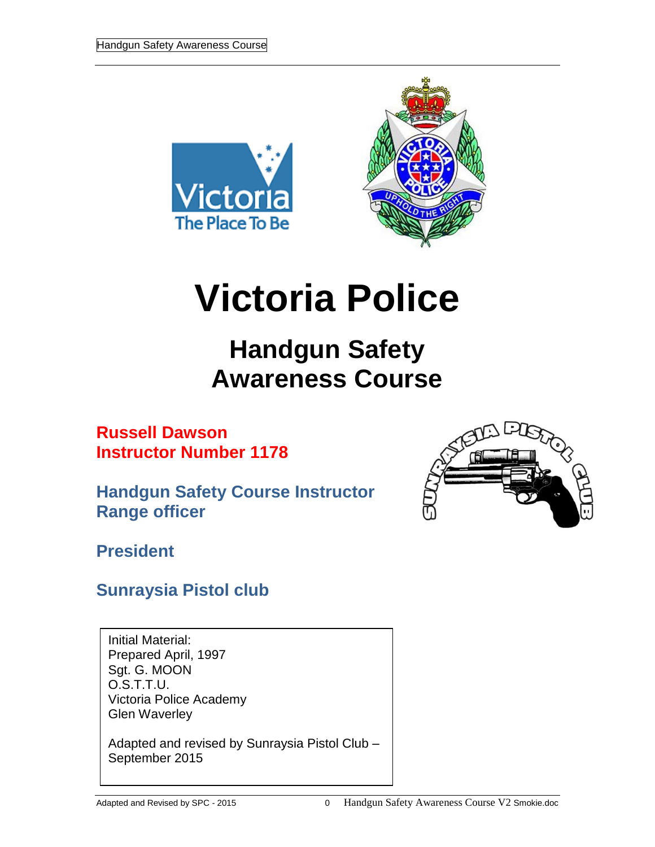



# **Victoria Police**

## **Handgun Safety Awareness Course**

**Russell Dawson Instructor Number 1178**

**Handgun Safety Course Instructor Range officer**



**President**

### **Sunraysia Pistol club**

Initial Material: Prepared April, 1997 Sgt. G. MOON O.S.T.T.U. Victoria Police Academy Glen Waverley

Adapted and revised by Sunraysia Pistol Club – September 2015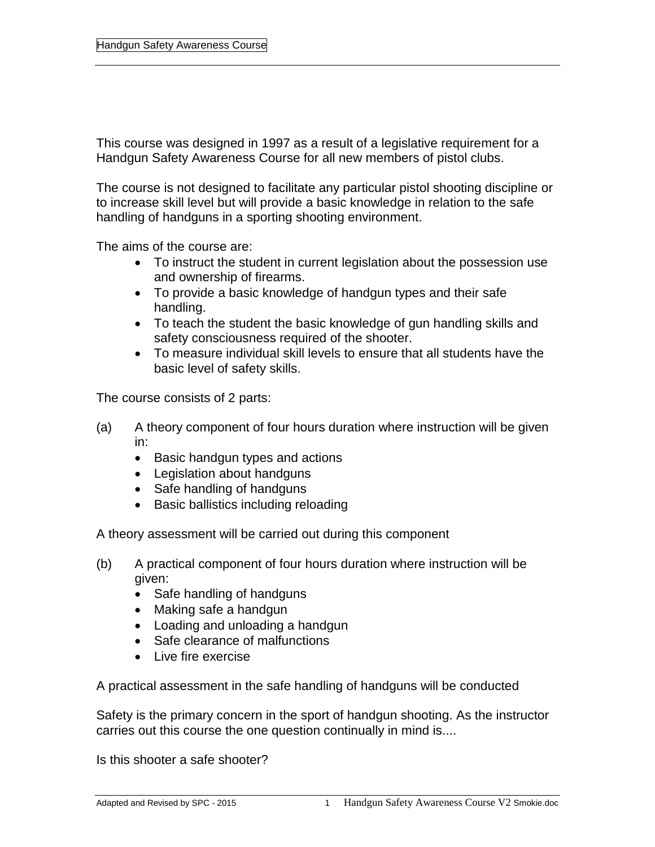This course was designed in 1997 as a result of a legislative requirement for a Handgun Safety Awareness Course for all new members of pistol clubs.

The course is not designed to facilitate any particular pistol shooting discipline or to increase skill level but will provide a basic knowledge in relation to the safe handling of handguns in a sporting shooting environment.

The aims of the course are:

- To instruct the student in current legislation about the possession use and ownership of firearms.
- To provide a basic knowledge of handgun types and their safe handling.
- To teach the student the basic knowledge of gun handling skills and safety consciousness required of the shooter.
- To measure individual skill levels to ensure that all students have the basic level of safety skills.

The course consists of 2 parts:

- (a) A theory component of four hours duration where instruction will be given in:
	- Basic handgun types and actions
	- Legislation about handguns
	- Safe handling of handguns
	- Basic ballistics including reloading

A theory assessment will be carried out during this component

- (b) A practical component of four hours duration where instruction will be given:
	- Safe handling of handguns
	- Making safe a handgun
	- Loading and unloading a handgun
	- Safe clearance of malfunctions
	- Live fire exercise

A practical assessment in the safe handling of handguns will be conducted

Safety is the primary concern in the sport of handgun shooting. As the instructor carries out this course the one question continually in mind is....

Is this shooter a safe shooter?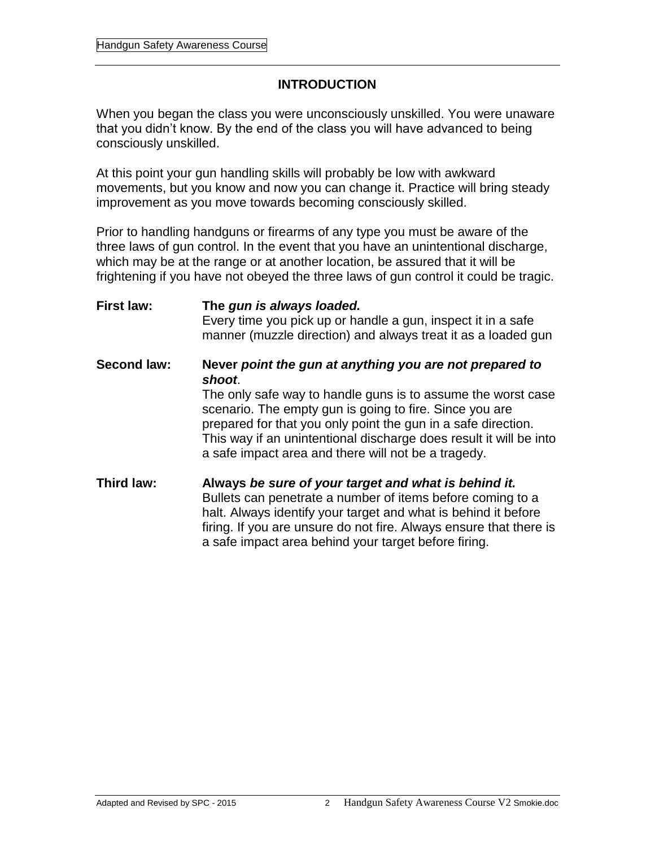#### **INTRODUCTION**

When you began the class you were unconsciously unskilled. You were unaware that you didn't know. By the end of the class you will have advanced to being consciously unskilled.

At this point your gun handling skills will probably be low with awkward movements, but you know and now you can change it. Practice will bring steady improvement as you move towards becoming consciously skilled.

Prior to handling handguns or firearms of any type you must be aware of the three laws of gun control. In the event that you have an unintentional discharge, which may be at the range or at another location, be assured that it will be frightening if you have not obeyed the three laws of gun control it could be tragic.

**First law: The** *gun is always loaded.* Every time you pick up or handle a gun, inspect it in a safe manner (muzzle direction) and always treat it as a loaded gun **Second law: Never** *point the gun at anything you are not prepared to shoot*. The only safe way to handle guns is to assume the worst case scenario. The empty gun is going to fire. Since you are prepared for that you only point the gun in a safe direction. This way if an unintentional discharge does result it will be into a safe impact area and there will not be a tragedy. **Third law: Always** *be sure of your target and what is behind it.* Bullets can penetrate a number of items before coming to a halt. Always identify your target and what is behind it before firing. If you are unsure do not fire. Always ensure that there is

a safe impact area behind your target before firing.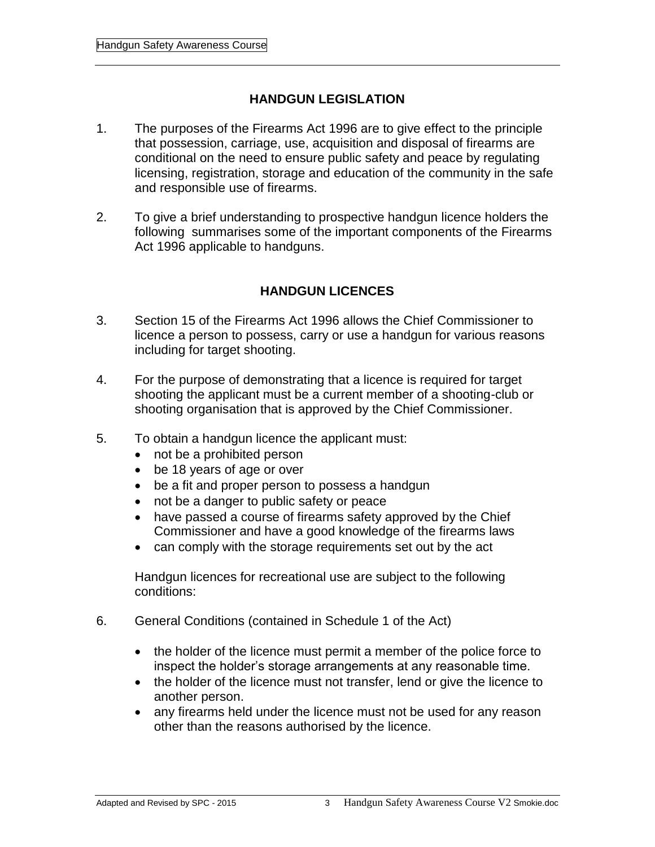#### **HANDGUN LEGISLATION**

- 1. The purposes of the Firearms Act 1996 are to give effect to the principle that possession, carriage, use, acquisition and disposal of firearms are conditional on the need to ensure public safety and peace by regulating licensing, registration, storage and education of the community in the safe and responsible use of firearms.
- 2. To give a brief understanding to prospective handgun licence holders the following summarises some of the important components of the Firearms Act 1996 applicable to handguns.

#### **HANDGUN LICENCES**

- 3. Section 15 of the Firearms Act 1996 allows the Chief Commissioner to licence a person to possess, carry or use a handgun for various reasons including for target shooting.
- 4. For the purpose of demonstrating that a licence is required for target shooting the applicant must be a current member of a shooting-club or shooting organisation that is approved by the Chief Commissioner.
- 5. To obtain a handgun licence the applicant must:
	- not be a prohibited person
	- be 18 years of age or over
	- be a fit and proper person to possess a handgun
	- not be a danger to public safety or peace
	- have passed a course of firearms safety approved by the Chief Commissioner and have a good knowledge of the firearms laws
	- can comply with the storage requirements set out by the act

Handgun licences for recreational use are subject to the following conditions:

- 6. General Conditions (contained in Schedule 1 of the Act)
	- the holder of the licence must permit a member of the police force to inspect the holder's storage arrangements at any reasonable time.
	- the holder of the licence must not transfer, lend or give the licence to another person.
	- any firearms held under the licence must not be used for any reason other than the reasons authorised by the licence.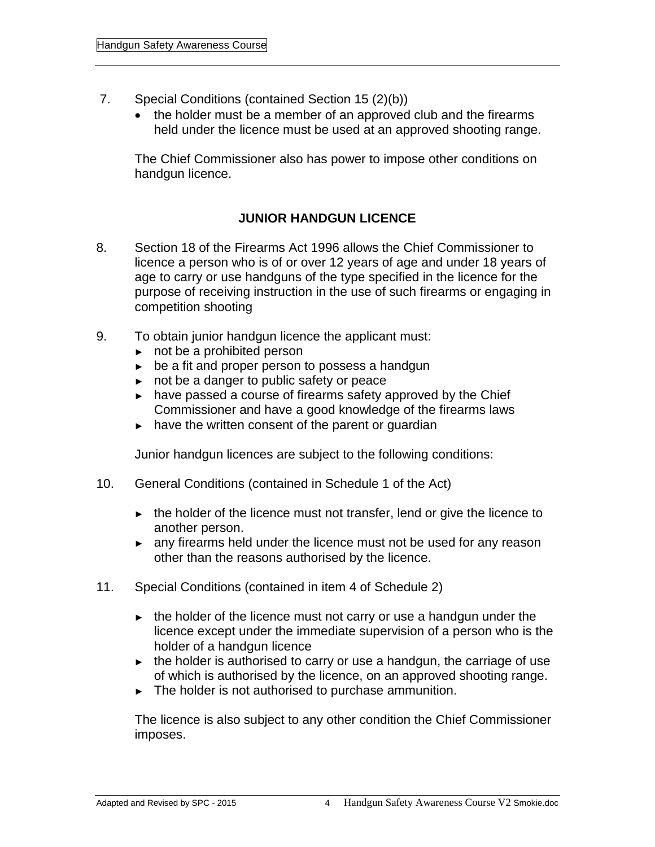- 7. Special Conditions (contained Section 15 (2)(b))
	- the holder must be a member of an approved club and the firearms held under the licence must be used at an approved shooting range.

The Chief Commissioner also has power to impose other conditions on handgun licence.

#### **JUNIOR HANDGUN LICENCE**

- 8. Section 18 of the Firearms Act 1996 allows the Chief Commissioner to licence a person who is of or over 12 years of age and under 18 years of age to carry or use handguns of the type specified in the licence for the purpose of receiving instruction in the use of such firearms or engaging in competition shooting
- 9. To obtain junior handgun licence the applicant must:
	- ► not be a prohibited person
	- ► be a fit and proper person to possess a handgun
	- ► not be a danger to public safety or peace
	- ► have passed a course of firearms safety approved by the Chief Commissioner and have a good knowledge of the firearms laws
	- ► have the written consent of the parent or guardian

Junior handgun licences are subject to the following conditions:

- 10. General Conditions (contained in Schedule 1 of the Act)
	- ► the holder of the licence must not transfer, lend or give the licence to another person.
	- ► any firearms held under the licence must not be used for any reason other than the reasons authorised by the licence.
- 11. Special Conditions (contained in item 4 of Schedule 2)
	- $\blacktriangleright$  the holder of the licence must not carry or use a handgun under the licence except under the immediate supervision of a person who is the holder of a handgun licence
	- ► the holder is authorised to carry or use a handgun, the carriage of use of which is authorised by the licence, on an approved shooting range.
	- ► The holder is not authorised to purchase ammunition.

The licence is also subject to any other condition the Chief Commissioner imposes.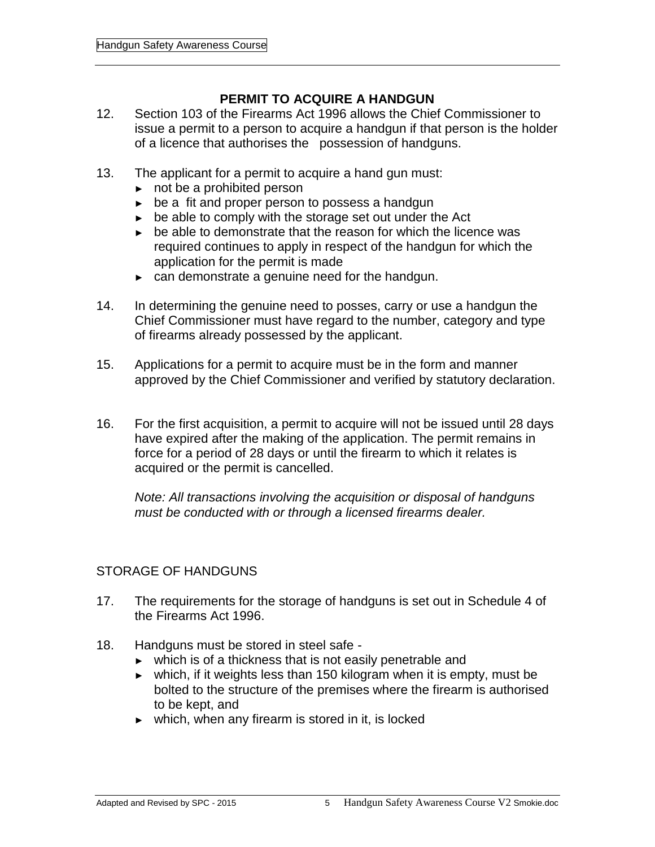#### **PERMIT TO ACQUIRE A HANDGUN**

- 12. Section 103 of the Firearms Act 1996 allows the Chief Commissioner to issue a permit to a person to acquire a handgun if that person is the holder of a licence that authorises the possession of handguns.
- 13. The applicant for a permit to acquire a hand gun must:
	- ► not be a prohibited person
	- ► be a fit and proper person to possess a handgun
	- ► be able to comply with the storage set out under the Act
	- ► be able to demonstrate that the reason for which the licence was required continues to apply in respect of the handgun for which the application for the permit is made
	- ► can demonstrate a genuine need for the handgun.
- 14. In determining the genuine need to posses, carry or use a handgun the Chief Commissioner must have regard to the number, category and type of firearms already possessed by the applicant.
- 15. Applications for a permit to acquire must be in the form and manner approved by the Chief Commissioner and verified by statutory declaration.
- 16. For the first acquisition, a permit to acquire will not be issued until 28 days have expired after the making of the application. The permit remains in force for a period of 28 days or until the firearm to which it relates is acquired or the permit is cancelled.

*Note: All transactions involving the acquisition or disposal of handguns must be conducted with or through a licensed firearms dealer.*

#### STORAGE OF HANDGUNS

- 17. The requirements for the storage of handguns is set out in Schedule 4 of the Firearms Act 1996.
- 18. Handguns must be stored in steel safe
	- ► which is of a thickness that is not easily penetrable and
	- ► which, if it weights less than 150 kilogram when it is empty, must be bolted to the structure of the premises where the firearm is authorised to be kept, and
	- ► which, when any firearm is stored in it, is locked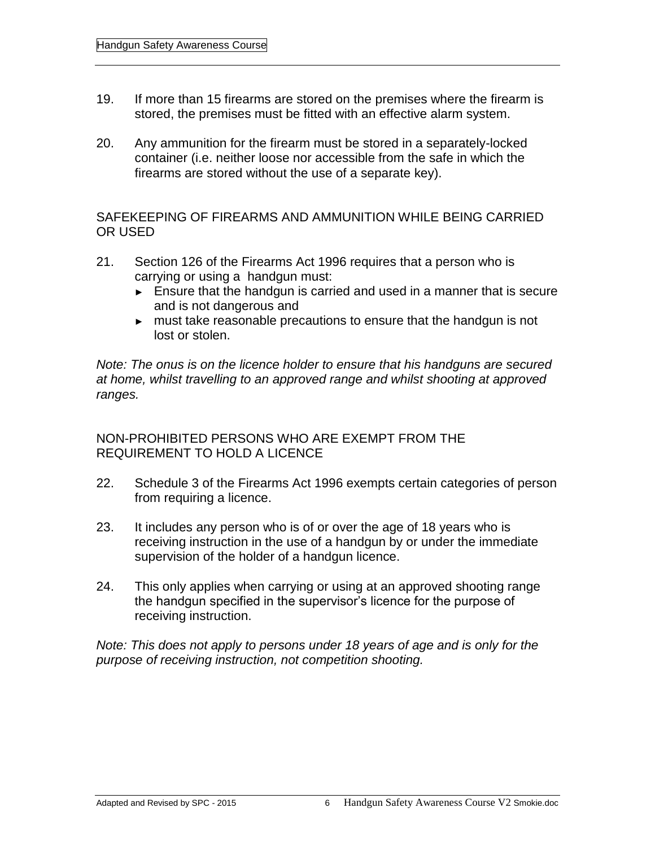- 19. If more than 15 firearms are stored on the premises where the firearm is stored, the premises must be fitted with an effective alarm system.
- 20. Any ammunition for the firearm must be stored in a separately-locked container (i.e. neither loose nor accessible from the safe in which the firearms are stored without the use of a separate key).

SAFEKEEPING OF FIREARMS AND AMMUNITION WHILE BEING CARRIED OR USED

- 21. Section 126 of the Firearms Act 1996 requires that a person who is carrying or using a handgun must:
	- ► Ensure that the handgun is carried and used in a manner that is secure and is not dangerous and
	- ► must take reasonable precautions to ensure that the handgun is not lost or stolen.

*Note: The onus is on the licence holder to ensure that his handguns are secured at home, whilst travelling to an approved range and whilst shooting at approved ranges.*

NON-PROHIBITED PERSONS WHO ARE EXEMPT FROM THE REQUIREMENT TO HOLD A LICENCE

- 22. Schedule 3 of the Firearms Act 1996 exempts certain categories of person from requiring a licence.
- 23. It includes any person who is of or over the age of 18 years who is receiving instruction in the use of a handgun by or under the immediate supervision of the holder of a handgun licence.
- 24. This only applies when carrying or using at an approved shooting range the handgun specified in the supervisor's licence for the purpose of receiving instruction.

*Note: This does not apply to persons under 18 years of age and is only for the purpose of receiving instruction, not competition shooting.*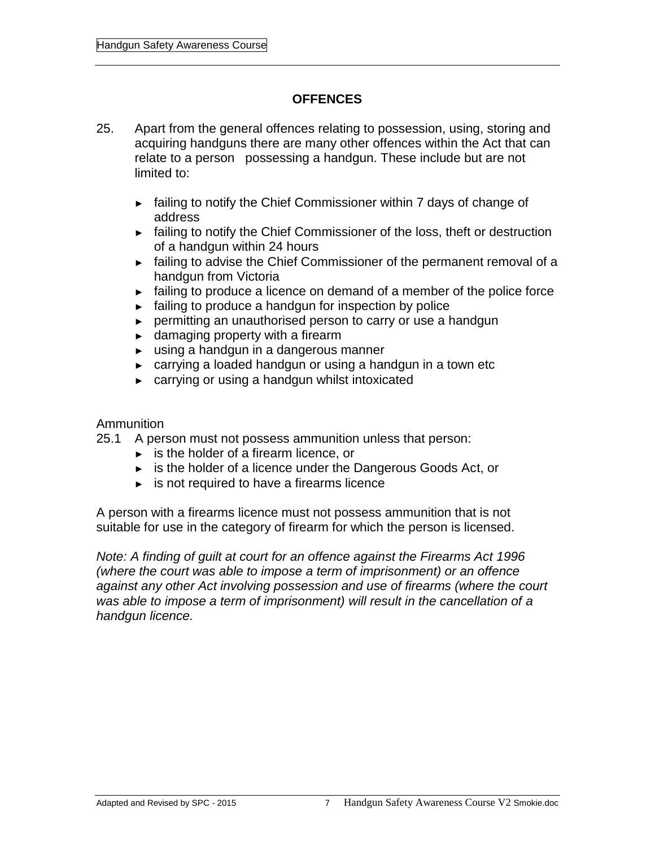#### **OFFENCES**

- 25. Apart from the general offences relating to possession, using, storing and acquiring handguns there are many other offences within the Act that can relate to a person possessing a handgun. These include but are not limited to:
	- ► failing to notify the Chief Commissioner within 7 days of change of address
	- ► failing to notify the Chief Commissioner of the loss, theft or destruction of a handgun within 24 hours
	- ► failing to advise the Chief Commissioner of the permanent removal of a handgun from Victoria
	- ► failing to produce a licence on demand of a member of the police force
	- ► failing to produce a handgun for inspection by police
	- ► permitting an unauthorised person to carry or use a handgun
	- $\blacktriangleright$  damaging property with a firearm
	- ► using a handgun in a dangerous manner
	- ► carrying a loaded handgun or using a handgun in a town etc
	- ► carrying or using a handgun whilst intoxicated

#### Ammunition

25.1 A person must not possess ammunition unless that person:

- ► is the holder of a firearm licence, or
- ► is the holder of a licence under the Dangerous Goods Act, or
- $\blacktriangleright$  is not required to have a firearms licence

A person with a firearms licence must not possess ammunition that is not suitable for use in the category of firearm for which the person is licensed.

*Note: A finding of guilt at court for an offence against the Firearms Act 1996 (where the court was able to impose a term of imprisonment) or an offence against any other Act involving possession and use of firearms (where the court was able to impose a term of imprisonment) will result in the cancellation of a handgun licence.*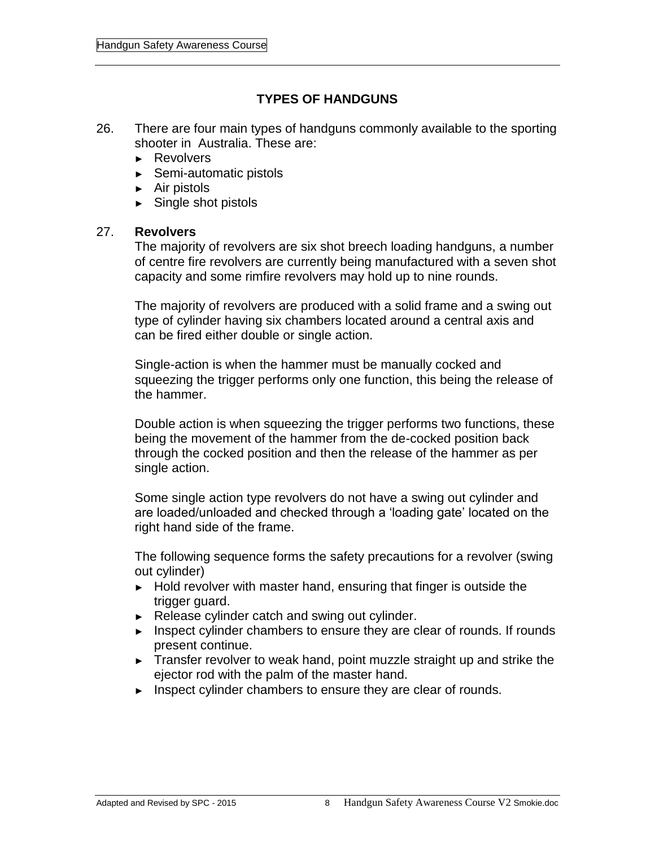#### **TYPES OF HANDGUNS**

- 26. There are four main types of handguns commonly available to the sporting shooter in Australia. These are:
	- ► Revolvers
	- ► Semi-automatic pistols
	- ► Air pistols
	- ► Single shot pistols

#### 27. **Revolvers**

The majority of revolvers are six shot breech loading handguns, a number of centre fire revolvers are currently being manufactured with a seven shot capacity and some rimfire revolvers may hold up to nine rounds.

The majority of revolvers are produced with a solid frame and a swing out type of cylinder having six chambers located around a central axis and can be fired either double or single action.

Single-action is when the hammer must be manually cocked and squeezing the trigger performs only one function, this being the release of the hammer.

Double action is when squeezing the trigger performs two functions, these being the movement of the hammer from the de-cocked position back through the cocked position and then the release of the hammer as per single action.

Some single action type revolvers do not have a swing out cylinder and are loaded/unloaded and checked through a 'loading gate' located on the right hand side of the frame.

The following sequence forms the safety precautions for a revolver (swing out cylinder)

- ► Hold revolver with master hand, ensuring that finger is outside the trigger guard.
- ► Release cylinder catch and swing out cylinder.
- ► Inspect cylinder chambers to ensure they are clear of rounds. If rounds present continue.
- ► Transfer revolver to weak hand, point muzzle straight up and strike the ejector rod with the palm of the master hand.
- ► Inspect cylinder chambers to ensure they are clear of rounds.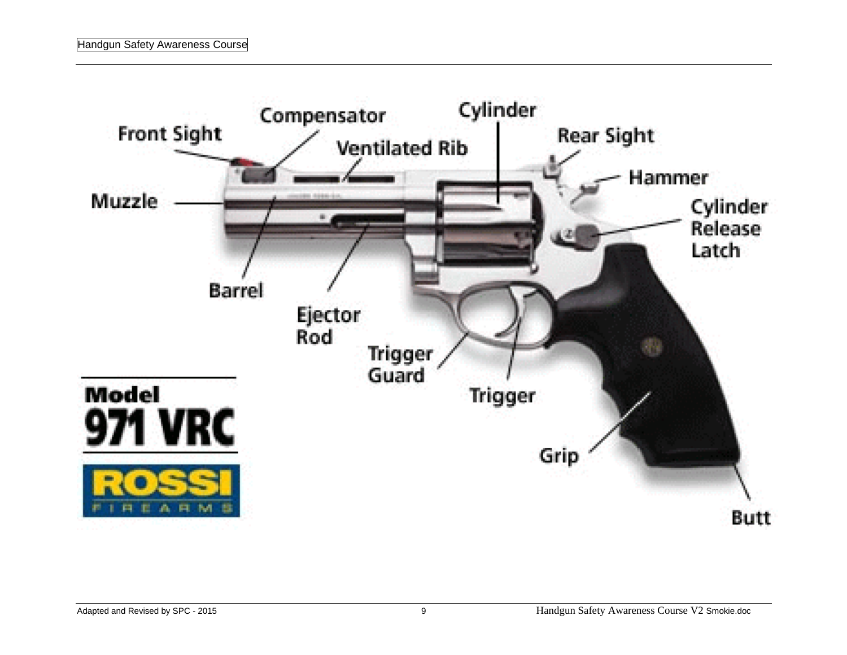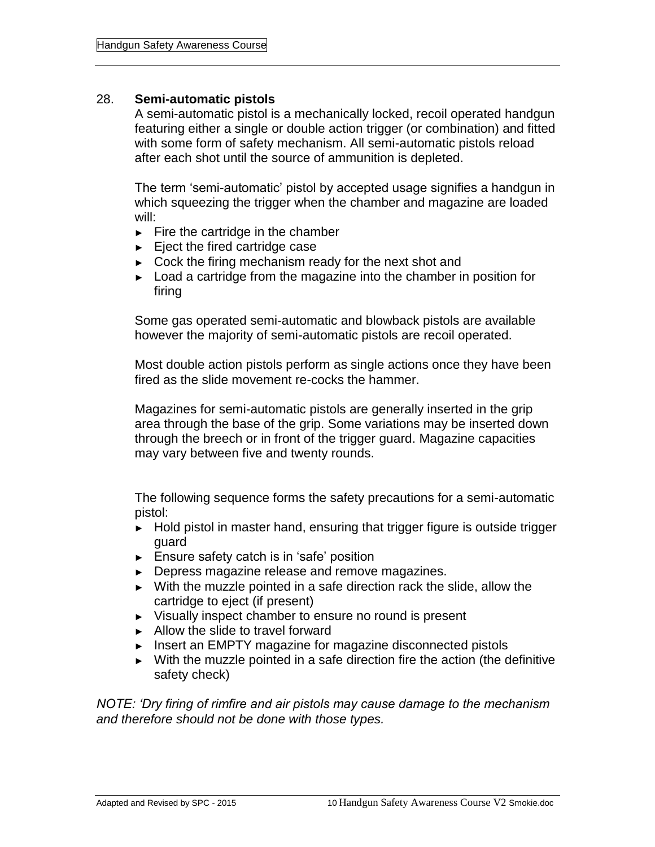#### 28. **Semi-automatic pistols**

A semi-automatic pistol is a mechanically locked, recoil operated handgun featuring either a single or double action trigger (or combination) and fitted with some form of safety mechanism. All semi-automatic pistols reload after each shot until the source of ammunition is depleted.

The term 'semi-automatic' pistol by accepted usage signifies a handgun in which squeezing the trigger when the chamber and magazine are loaded will:

- $\blacktriangleright$  Fire the cartridge in the chamber
- ► Eject the fired cartridge case
- ► Cock the firing mechanism ready for the next shot and
- ► Load a cartridge from the magazine into the chamber in position for firing

Some gas operated semi-automatic and blowback pistols are available however the majority of semi-automatic pistols are recoil operated.

Most double action pistols perform as single actions once they have been fired as the slide movement re-cocks the hammer.

Magazines for semi-automatic pistols are generally inserted in the grip area through the base of the grip. Some variations may be inserted down through the breech or in front of the trigger guard. Magazine capacities may vary between five and twenty rounds.

The following sequence forms the safety precautions for a semi-automatic pistol:

- ► Hold pistol in master hand, ensuring that trigger figure is outside trigger guard
- ► Ensure safety catch is in 'safe' position
- ► Depress magazine release and remove magazines.
- ► With the muzzle pointed in a safe direction rack the slide, allow the cartridge to eject (if present)
- ► Visually inspect chamber to ensure no round is present
- ► Allow the slide to travel forward
- ► Insert an EMPTY magazine for magazine disconnected pistols
- ► With the muzzle pointed in a safe direction fire the action (the definitive safety check)

*NOTE: 'Dry firing of rimfire and air pistols may cause damage to the mechanism and therefore should not be done with those types.*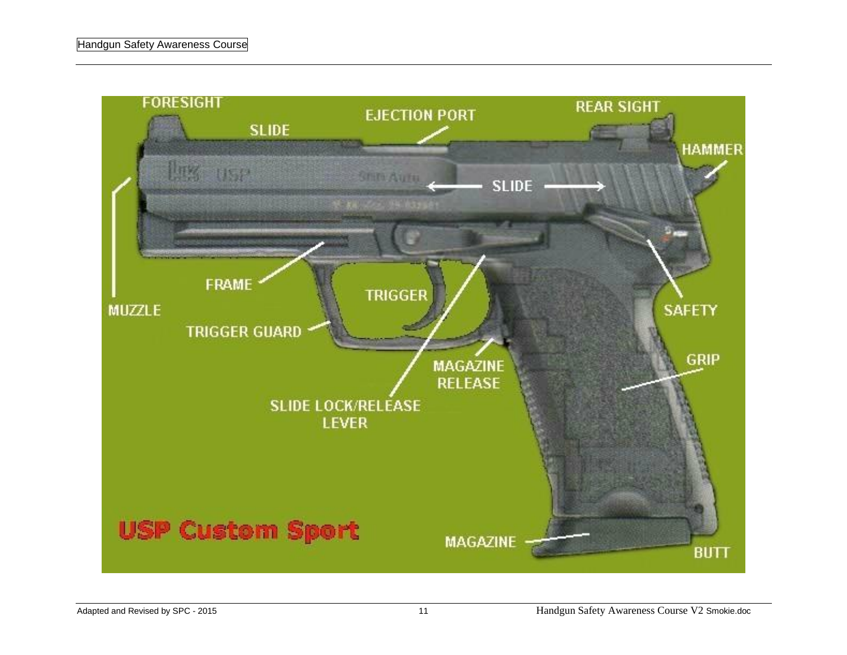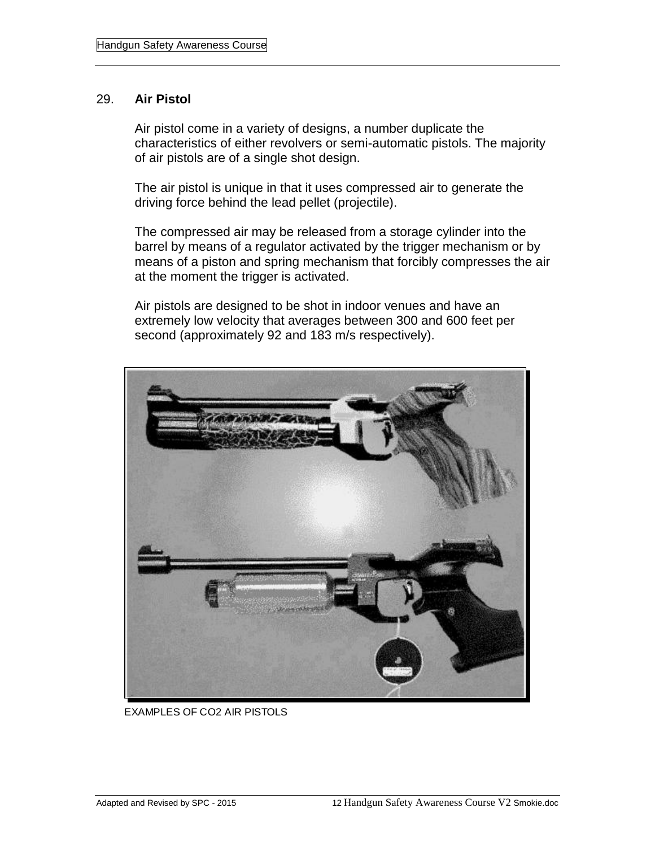#### 29. **Air Pistol**

Air pistol come in a variety of designs, a number duplicate the characteristics of either revolvers or semi-automatic pistols. The majority of air pistols are of a single shot design.

The air pistol is unique in that it uses compressed air to generate the driving force behind the lead pellet (projectile).

The compressed air may be released from a storage cylinder into the barrel by means of a regulator activated by the trigger mechanism or by means of a piston and spring mechanism that forcibly compresses the air at the moment the trigger is activated.

Air pistols are designed to be shot in indoor venues and have an extremely low velocity that averages between 300 and 600 feet per second (approximately 92 and 183 m/s respectively).



EXAMPLES OF CO2 AIR PISTOLS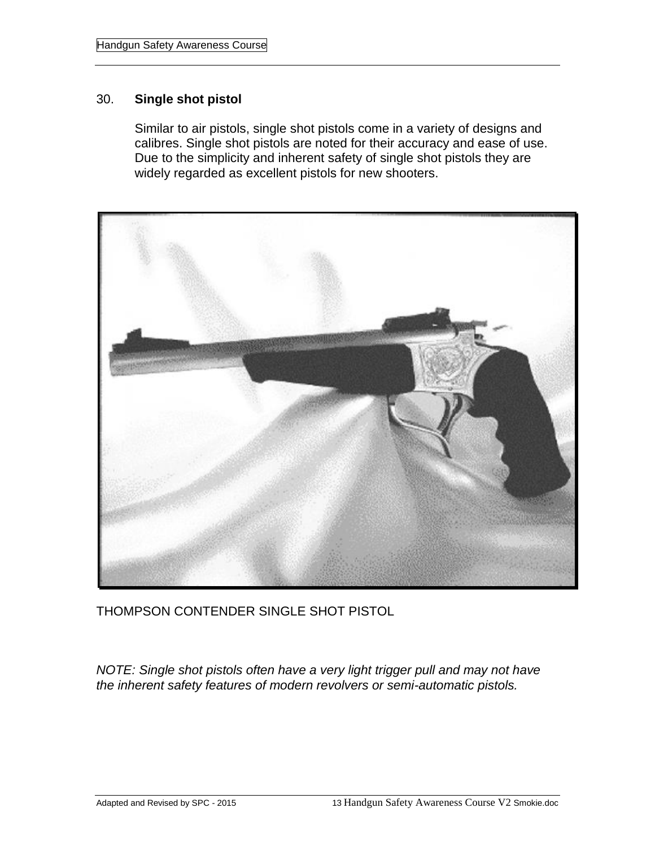#### 30. **Single shot pistol**

Similar to air pistols, single shot pistols come in a variety of designs and calibres. Single shot pistols are noted for their accuracy and ease of use. Due to the simplicity and inherent safety of single shot pistols they are widely regarded as excellent pistols for new shooters.



THOMPSON CONTENDER SINGLE SHOT PISTOL

*NOTE: Single shot pistols often have a very light trigger pull and may not have the inherent safety features of modern revolvers or semi-automatic pistols.*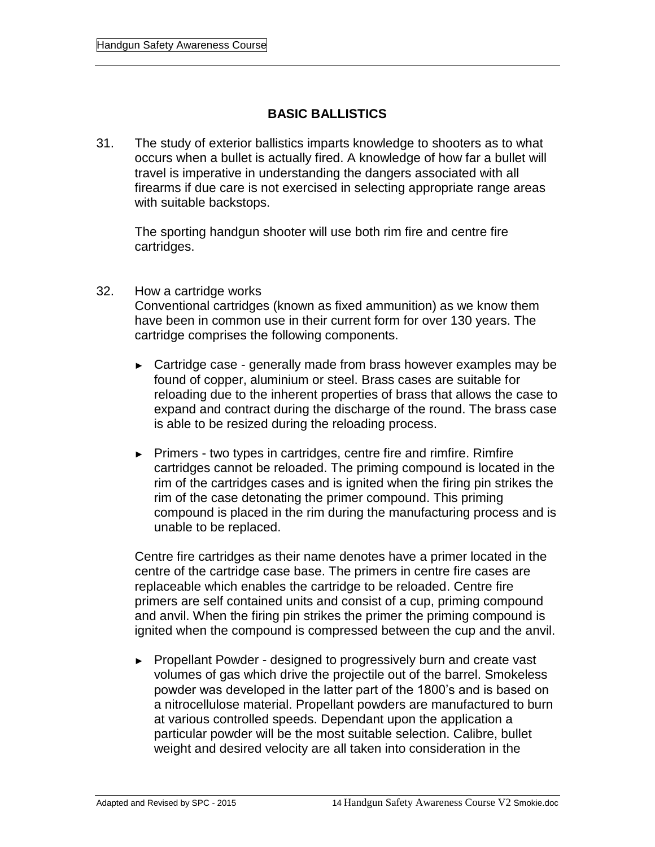#### **BASIC BALLISTICS**

31. The study of exterior ballistics imparts knowledge to shooters as to what occurs when a bullet is actually fired. A knowledge of how far a bullet will travel is imperative in understanding the dangers associated with all firearms if due care is not exercised in selecting appropriate range areas with suitable backstops.

The sporting handgun shooter will use both rim fire and centre fire cartridges.

- 32. How a cartridge works Conventional cartridges (known as fixed ammunition) as we know them have been in common use in their current form for over 130 years. The cartridge comprises the following components.
	- ► Cartridge case generally made from brass however examples may be found of copper, aluminium or steel. Brass cases are suitable for reloading due to the inherent properties of brass that allows the case to expand and contract during the discharge of the round. The brass case is able to be resized during the reloading process.
	- ► Primers two types in cartridges, centre fire and rimfire. Rimfire cartridges cannot be reloaded. The priming compound is located in the rim of the cartridges cases and is ignited when the firing pin strikes the rim of the case detonating the primer compound. This priming compound is placed in the rim during the manufacturing process and is unable to be replaced.

Centre fire cartridges as their name denotes have a primer located in the centre of the cartridge case base. The primers in centre fire cases are replaceable which enables the cartridge to be reloaded. Centre fire primers are self contained units and consist of a cup, priming compound and anvil. When the firing pin strikes the primer the priming compound is ignited when the compound is compressed between the cup and the anvil.

► Propellant Powder - designed to progressively burn and create vast volumes of gas which drive the projectile out of the barrel. Smokeless powder was developed in the latter part of the 1800's and is based on a nitrocellulose material. Propellant powders are manufactured to burn at various controlled speeds. Dependant upon the application a particular powder will be the most suitable selection. Calibre, bullet weight and desired velocity are all taken into consideration in the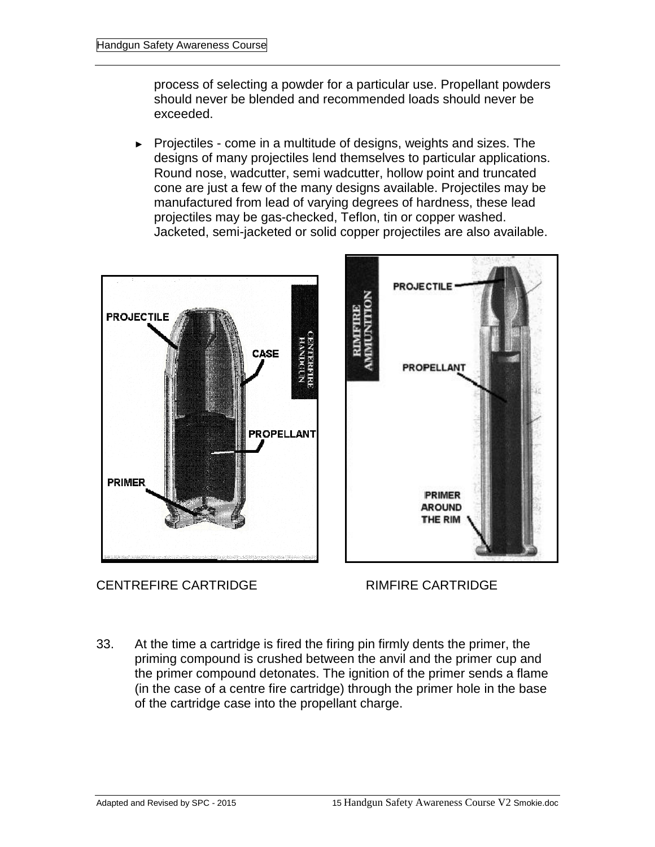process of selecting a powder for a particular use. Propellant powders should never be blended and recommended loads should never be exceeded.

► Projectiles - come in a multitude of designs, weights and sizes. The designs of many projectiles lend themselves to particular applications. Round nose, wadcutter, semi wadcutter, hollow point and truncated cone are just a few of the many designs available. Projectiles may be manufactured from lead of varying degrees of hardness, these lead projectiles may be gas-checked, Teflon, tin or copper washed. Jacketed, semi-jacketed or solid copper projectiles are also available.



CENTREFIRE CARTRIDGE RIMFIRE CARTRIDGE

33. At the time a cartridge is fired the firing pin firmly dents the primer, the priming compound is crushed between the anvil and the primer cup and the primer compound detonates. The ignition of the primer sends a flame (in the case of a centre fire cartridge) through the primer hole in the base of the cartridge case into the propellant charge.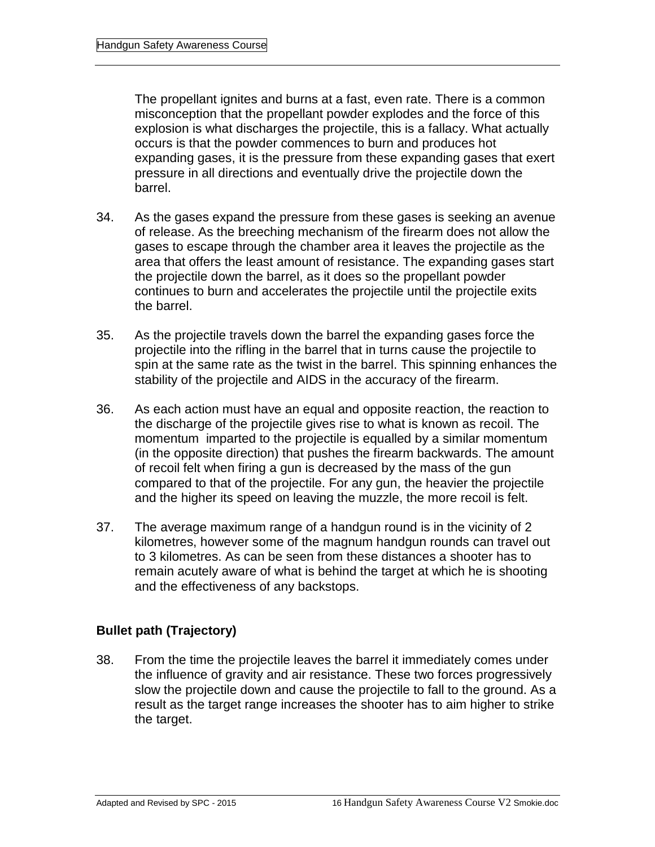The propellant ignites and burns at a fast, even rate. There is a common misconception that the propellant powder explodes and the force of this explosion is what discharges the projectile, this is a fallacy. What actually occurs is that the powder commences to burn and produces hot expanding gases, it is the pressure from these expanding gases that exert pressure in all directions and eventually drive the projectile down the barrel.

- 34. As the gases expand the pressure from these gases is seeking an avenue of release. As the breeching mechanism of the firearm does not allow the gases to escape through the chamber area it leaves the projectile as the area that offers the least amount of resistance. The expanding gases start the projectile down the barrel, as it does so the propellant powder continues to burn and accelerates the projectile until the projectile exits the barrel.
- 35. As the projectile travels down the barrel the expanding gases force the projectile into the rifling in the barrel that in turns cause the projectile to spin at the same rate as the twist in the barrel. This spinning enhances the stability of the projectile and AIDS in the accuracy of the firearm.
- 36. As each action must have an equal and opposite reaction, the reaction to the discharge of the projectile gives rise to what is known as recoil. The momentum imparted to the projectile is equalled by a similar momentum (in the opposite direction) that pushes the firearm backwards. The amount of recoil felt when firing a gun is decreased by the mass of the gun compared to that of the projectile. For any gun, the heavier the projectile and the higher its speed on leaving the muzzle, the more recoil is felt.
- 37. The average maximum range of a handgun round is in the vicinity of 2 kilometres, however some of the magnum handgun rounds can travel out to 3 kilometres. As can be seen from these distances a shooter has to remain acutely aware of what is behind the target at which he is shooting and the effectiveness of any backstops.

#### **Bullet path (Trajectory)**

38. From the time the projectile leaves the barrel it immediately comes under the influence of gravity and air resistance. These two forces progressively slow the projectile down and cause the projectile to fall to the ground. As a result as the target range increases the shooter has to aim higher to strike the target.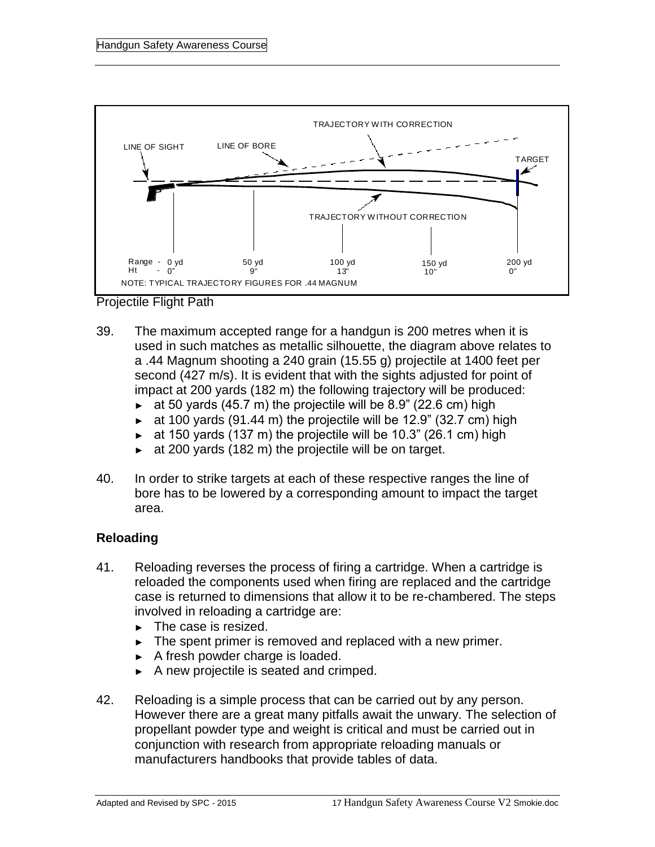

Projectile Flight Path

- 39. The maximum accepted range for a handgun is 200 metres when it is used in such matches as metallic silhouette, the diagram above relates to a .44 Magnum shooting a 240 grain (15.55 g) projectile at 1400 feet per second (427 m/s). It is evident that with the sights adjusted for point of impact at 200 yards (182 m) the following trajectory will be produced:
	- $\blacktriangleright$  at 50 yards (45.7 m) the projectile will be 8.9" (22.6 cm) high
	- $\bullet$  at 100 yards (91.44 m) the projectile will be 12.9" (32.7 cm) high
	- $\blacktriangleright$  at 150 yards (137 m) the projectile will be 10.3" (26.1 cm) high
	- ► at 200 yards (182 m) the projectile will be on target.
- 40. In order to strike targets at each of these respective ranges the line of bore has to be lowered by a corresponding amount to impact the target area.

#### **Reloading**

- 41. Reloading reverses the process of firing a cartridge. When a cartridge is reloaded the components used when firing are replaced and the cartridge case is returned to dimensions that allow it to be re-chambered. The steps involved in reloading a cartridge are:
	- ► The case is resized.
	- ► The spent primer is removed and replaced with a new primer.
	- ► A fresh powder charge is loaded.
	- ► A new projectile is seated and crimped.
- 42. Reloading is a simple process that can be carried out by any person. However there are a great many pitfalls await the unwary. The selection of propellant powder type and weight is critical and must be carried out in conjunction with research from appropriate reloading manuals or manufacturers handbooks that provide tables of data.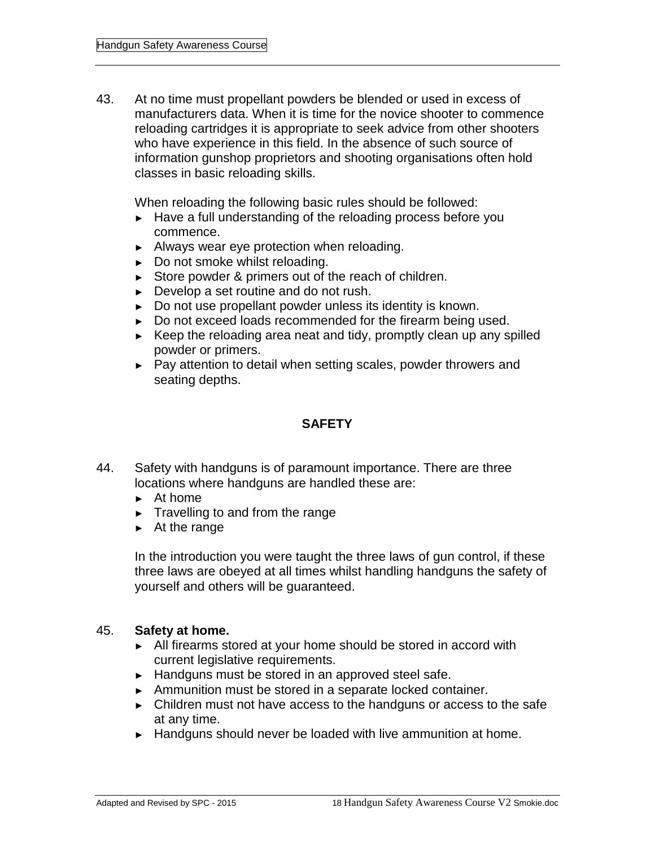43. At no time must propellant powders be blended or used in excess of manufacturers data. When it is time for the novice shooter to commence reloading cartridges it is appropriate to seek advice from other shooters who have experience in this field. In the absence of such source of information gunshop proprietors and shooting organisations often hold classes in basic reloading skills.

When reloading the following basic rules should be followed:

- ► Have a full understanding of the reloading process before you commence.
- ► Always wear eye protection when reloading.
- ► Do not smoke whilst reloading.
- ► Store powder & primers out of the reach of children.
- ► Develop a set routine and do not rush.
- ► Do not use propellant powder unless its identity is known.
- ► Do not exceed loads recommended for the firearm being used.
- ► Keep the reloading area neat and tidy, promptly clean up any spilled powder or primers.
- ► Pay attention to detail when setting scales, powder throwers and seating depths.

#### **SAFETY**

- 44. Safety with handguns is of paramount importance. There are three locations where handguns are handled these are:
	- ► At home
	- ► Travelling to and from the range
	- ► At the range

In the introduction you were taught the three laws of gun control, if these three laws are obeyed at all times whilst handling handguns the safety of yourself and others will be guaranteed.

#### 45. **Safety at home.**

- ► All firearms stored at your home should be stored in accord with current legislative requirements.
- ► Handguns must be stored in an approved steel safe.
- ► Ammunition must be stored in a separate locked container.
- ► Children must not have access to the handguns or access to the safe at any time.
- ► Handguns should never be loaded with live ammunition at home.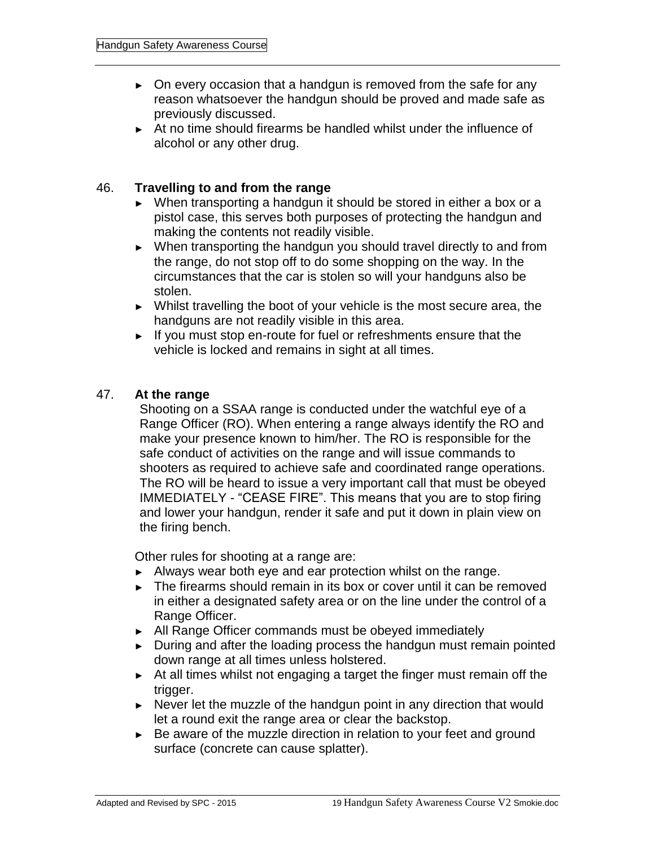- ► On every occasion that a handgun is removed from the safe for any reason whatsoever the handgun should be proved and made safe as previously discussed.
- ► At no time should firearms be handled whilst under the influence of alcohol or any other drug.

#### 46. **Travelling to and from the range**

- ► When transporting a handgun it should be stored in either a box or a pistol case, this serves both purposes of protecting the handgun and making the contents not readily visible.
- ► When transporting the handgun you should travel directly to and from the range, do not stop off to do some shopping on the way. In the circumstances that the car is stolen so will your handguns also be stolen.
- ► Whilst travelling the boot of your vehicle is the most secure area, the handguns are not readily visible in this area.
- ► If you must stop en-route for fuel or refreshments ensure that the vehicle is locked and remains in sight at all times.

#### 47. **At the range**

Shooting on a SSAA range is conducted under the watchful eye of a Range Officer (RO). When entering a range always identify the RO and make your presence known to him/her. The RO is responsible for the safe conduct of activities on the range and will issue commands to shooters as required to achieve safe and coordinated range operations. The RO will be heard to issue a very important call that must be obeyed IMMEDIATELY - "CEASE FIRE". This means that you are to stop firing and lower your handgun, render it safe and put it down in plain view on the firing bench.

Other rules for shooting at a range are:

- ► Always wear both eye and ear protection whilst on the range.
- ► The firearms should remain in its box or cover until it can be removed in either a designated safety area or on the line under the control of a Range Officer.
- ► All Range Officer commands must be obeyed immediately
- ► During and after the loading process the handgun must remain pointed down range at all times unless holstered.
- ► At all times whilst not engaging a target the finger must remain off the trigger.
- ► Never let the muzzle of the handgun point in any direction that would let a round exit the range area or clear the backstop.
- ► Be aware of the muzzle direction in relation to your feet and ground surface (concrete can cause splatter).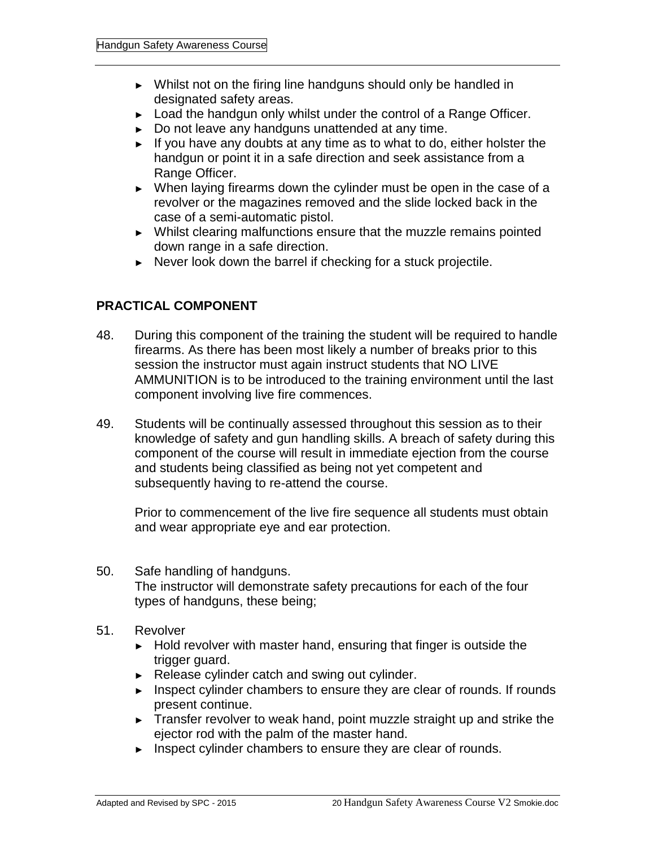- ► Whilst not on the firing line handguns should only be handled in designated safety areas.
- ► Load the handgun only whilst under the control of a Range Officer.
- ► Do not leave any handguns unattended at any time.
- ► If you have any doubts at any time as to what to do, either holster the handgun or point it in a safe direction and seek assistance from a Range Officer.
- ► When laying firearms down the cylinder must be open in the case of a revolver or the magazines removed and the slide locked back in the case of a semi-automatic pistol.
- ► Whilst clearing malfunctions ensure that the muzzle remains pointed down range in a safe direction.
- ► Never look down the barrel if checking for a stuck projectile.

#### **PRACTICAL COMPONENT**

- 48. During this component of the training the student will be required to handle firearms. As there has been most likely a number of breaks prior to this session the instructor must again instruct students that NO LIVE AMMUNITION is to be introduced to the training environment until the last component involving live fire commences.
- 49. Students will be continually assessed throughout this session as to their knowledge of safety and gun handling skills. A breach of safety during this component of the course will result in immediate ejection from the course and students being classified as being not yet competent and subsequently having to re-attend the course.

Prior to commencement of the live fire sequence all students must obtain and wear appropriate eye and ear protection.

- 50. Safe handling of handguns. The instructor will demonstrate safety precautions for each of the four types of handguns, these being;
- 51. Revolver
	- ► Hold revolver with master hand, ensuring that finger is outside the trigger guard.
	- ► Release cylinder catch and swing out cylinder.
	- ► Inspect cylinder chambers to ensure they are clear of rounds. If rounds present continue.
	- ► Transfer revolver to weak hand, point muzzle straight up and strike the ejector rod with the palm of the master hand.
	- ► Inspect cylinder chambers to ensure they are clear of rounds.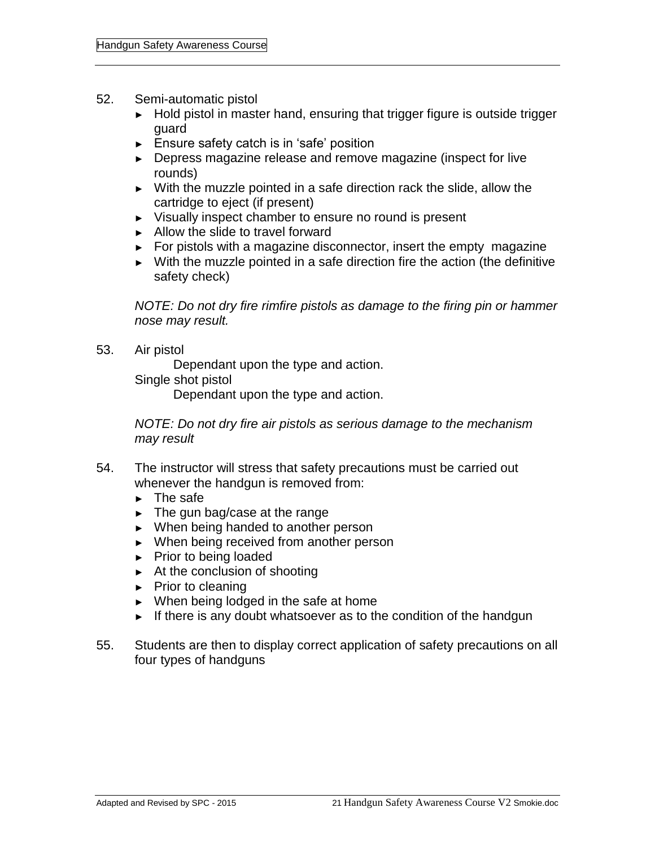#### 52. Semi-automatic pistol

- ► Hold pistol in master hand, ensuring that trigger figure is outside trigger guard
- ► Ensure safety catch is in 'safe' position
- ► Depress magazine release and remove magazine (inspect for live rounds)
- ► With the muzzle pointed in a safe direction rack the slide, allow the cartridge to eject (if present)
- ► Visually inspect chamber to ensure no round is present
- ► Allow the slide to travel forward
- ► For pistols with a magazine disconnector, insert the empty magazine
- ► With the muzzle pointed in a safe direction fire the action (the definitive safety check)

*NOTE: Do not dry fire rimfire pistols as damage to the firing pin or hammer nose may result.*

53. Air pistol

Dependant upon the type and action.

Single shot pistol

Dependant upon the type and action.

*NOTE: Do not dry fire air pistols as serious damage to the mechanism may result*

- 54. The instructor will stress that safety precautions must be carried out whenever the handgun is removed from:
	- ► The safe
	- ► The gun bag/case at the range
	- ► When being handed to another person
	- ► When being received from another person
	- ► Prior to being loaded
	- ► At the conclusion of shooting
	- ► Prior to cleaning
	- ► When being lodged in the safe at home
	- ► If there is any doubt whatsoever as to the condition of the handgun
- 55. Students are then to display correct application of safety precautions on all four types of handguns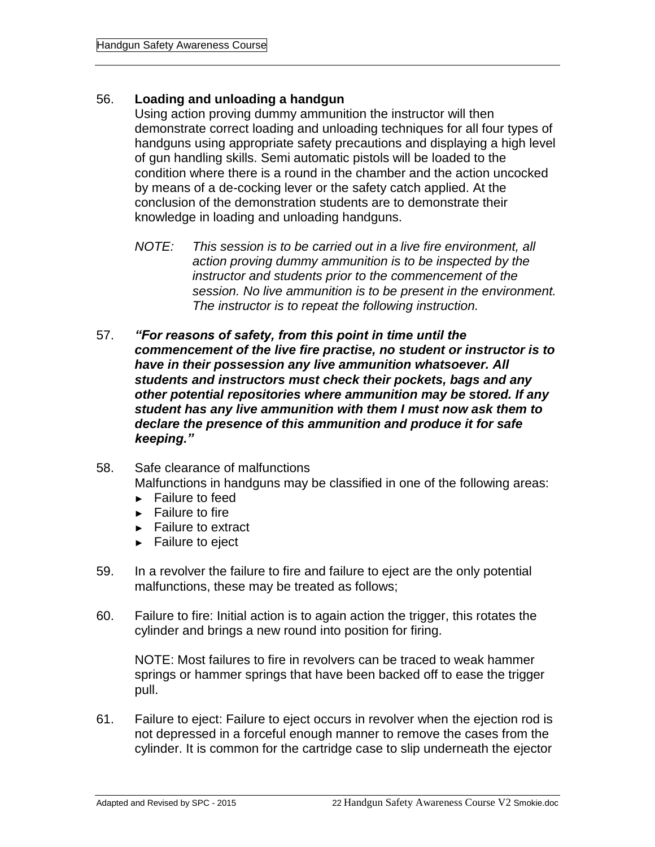#### 56. **Loading and unloading a handgun**

Using action proving dummy ammunition the instructor will then demonstrate correct loading and unloading techniques for all four types of handguns using appropriate safety precautions and displaying a high level of gun handling skills. Semi automatic pistols will be loaded to the condition where there is a round in the chamber and the action uncocked by means of a de-cocking lever or the safety catch applied. At the conclusion of the demonstration students are to demonstrate their knowledge in loading and unloading handguns.

- *NOTE: This session is to be carried out in a live fire environment, all action proving dummy ammunition is to be inspected by the instructor and students prior to the commencement of the session. No live ammunition is to be present in the environment. The instructor is to repeat the following instruction.*
- 57. *"For reasons of safety, from this point in time until the commencement of the live fire practise, no student or instructor is to have in their possession any live ammunition whatsoever. All students and instructors must check their pockets, bags and any other potential repositories where ammunition may be stored. If any student has any live ammunition with them I must now ask them to declare the presence of this ammunition and produce it for safe keeping."*
- 58. Safe clearance of malfunctions Malfunctions in handguns may be classified in one of the following areas:
	- ► Failure to feed
	- ► Failure to fire
	- ► Failure to extract
	- ► Failure to eject
- 59. In a revolver the failure to fire and failure to eject are the only potential malfunctions, these may be treated as follows;
- 60. Failure to fire: Initial action is to again action the trigger, this rotates the cylinder and brings a new round into position for firing.

NOTE: Most failures to fire in revolvers can be traced to weak hammer springs or hammer springs that have been backed off to ease the trigger pull.

61. Failure to eject: Failure to eject occurs in revolver when the ejection rod is not depressed in a forceful enough manner to remove the cases from the cylinder. It is common for the cartridge case to slip underneath the ejector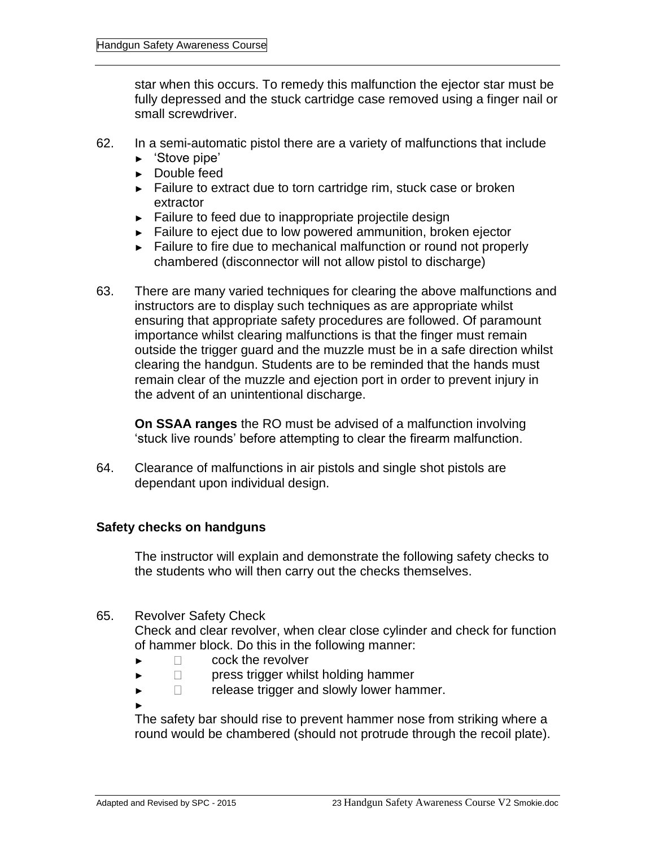star when this occurs. To remedy this malfunction the ejector star must be fully depressed and the stuck cartridge case removed using a finger nail or small screwdriver.

- 62. In a semi-automatic pistol there are a variety of malfunctions that include
	- ► 'Stove pipe'
	- ► Double feed
	- ► Failure to extract due to torn cartridge rim, stuck case or broken extractor
	- ► Failure to feed due to inappropriate projectile design
	- ► Failure to eject due to low powered ammunition, broken ejector
	- ► Failure to fire due to mechanical malfunction or round not properly chambered (disconnector will not allow pistol to discharge)
- 63. There are many varied techniques for clearing the above malfunctions and instructors are to display such techniques as are appropriate whilst ensuring that appropriate safety procedures are followed. Of paramount importance whilst clearing malfunctions is that the finger must remain outside the trigger guard and the muzzle must be in a safe direction whilst clearing the handgun. Students are to be reminded that the hands must remain clear of the muzzle and ejection port in order to prevent injury in the advent of an unintentional discharge.

**On SSAA ranges** the RO must be advised of a malfunction involving 'stuck live rounds' before attempting to clear the firearm malfunction.

64. Clearance of malfunctions in air pistols and single shot pistols are dependant upon individual design.

#### **Safety checks on handguns**

The instructor will explain and demonstrate the following safety checks to the students who will then carry out the checks themselves.

#### 65. Revolver Safety Check

Check and clear revolver, when clear close cylinder and check for function of hammer block. Do this in the following manner:

- ► cock the revolver
- ► press trigger whilst holding hammer
- ► release trigger and slowly lower hammer.

The safety bar should rise to prevent hammer nose from striking where a round would be chambered (should not protrude through the recoil plate).

►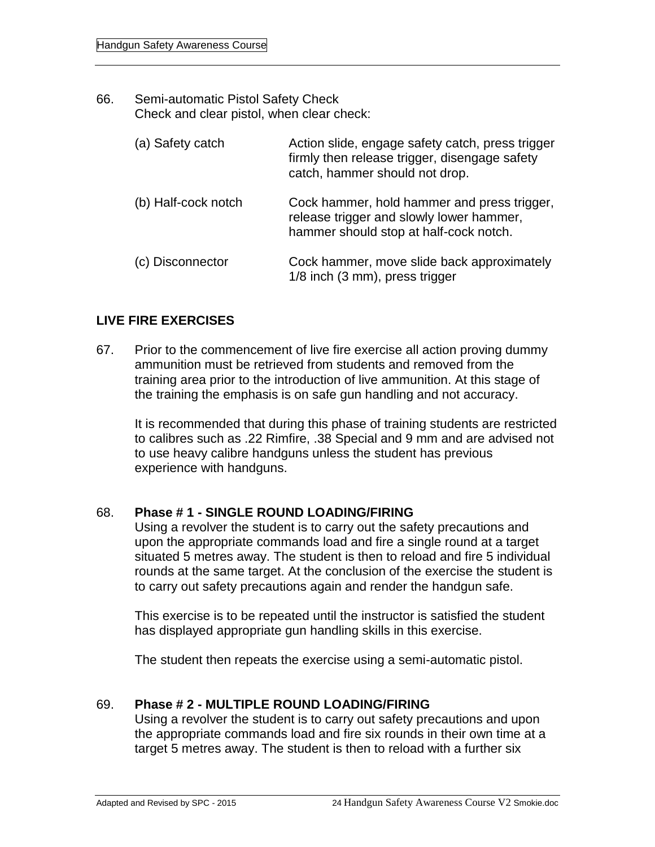66. Semi-automatic Pistol Safety Check Check and clear pistol, when clear check:

| (a) Safety catch    | Action slide, engage safety catch, press trigger<br>firmly then release trigger, disengage safety<br>catch, hammer should not drop. |
|---------------------|-------------------------------------------------------------------------------------------------------------------------------------|
| (b) Half-cock notch | Cock hammer, hold hammer and press trigger,<br>release trigger and slowly lower hammer,<br>hammer should stop at half-cock notch.   |
| (c) Disconnector    | Cock hammer, move slide back approximately<br>1/8 inch (3 mm), press trigger                                                        |

#### **LIVE FIRE EXERCISES**

67. Prior to the commencement of live fire exercise all action proving dummy ammunition must be retrieved from students and removed from the training area prior to the introduction of live ammunition. At this stage of the training the emphasis is on safe gun handling and not accuracy.

It is recommended that during this phase of training students are restricted to calibres such as .22 Rimfire, .38 Special and 9 mm and are advised not to use heavy calibre handguns unless the student has previous experience with handguns.

#### 68. **Phase # 1 - SINGLE ROUND LOADING/FIRING**

Using a revolver the student is to carry out the safety precautions and upon the appropriate commands load and fire a single round at a target situated 5 metres away. The student is then to reload and fire 5 individual rounds at the same target. At the conclusion of the exercise the student is to carry out safety precautions again and render the handgun safe.

This exercise is to be repeated until the instructor is satisfied the student has displayed appropriate gun handling skills in this exercise.

The student then repeats the exercise using a semi-automatic pistol.

#### 69. **Phase # 2 - MULTIPLE ROUND LOADING/FIRING**

Using a revolver the student is to carry out safety precautions and upon the appropriate commands load and fire six rounds in their own time at a target 5 metres away. The student is then to reload with a further six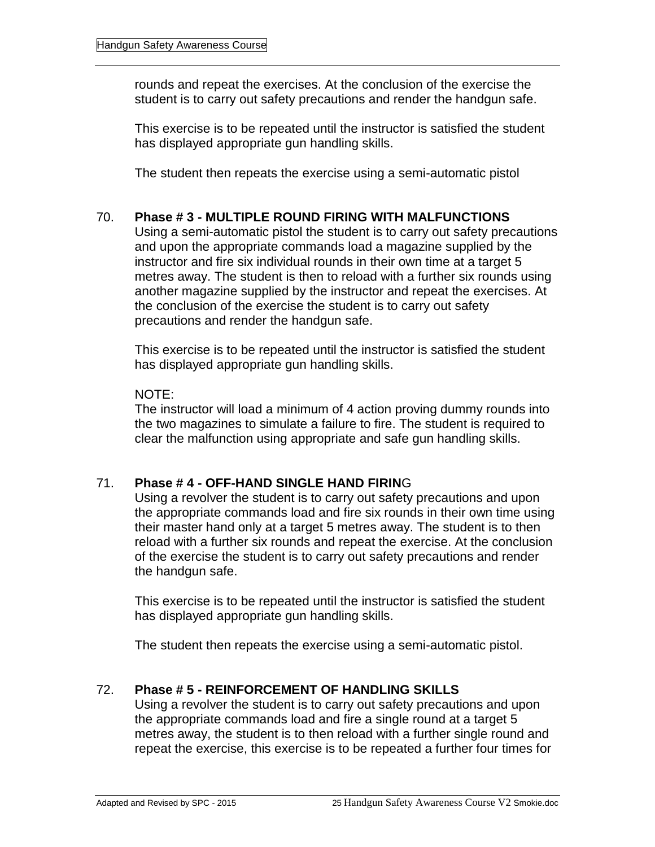rounds and repeat the exercises. At the conclusion of the exercise the student is to carry out safety precautions and render the handgun safe.

This exercise is to be repeated until the instructor is satisfied the student has displayed appropriate gun handling skills.

The student then repeats the exercise using a semi-automatic pistol

#### 70. **Phase # 3 - MULTIPLE ROUND FIRING WITH MALFUNCTIONS**

Using a semi-automatic pistol the student is to carry out safety precautions and upon the appropriate commands load a magazine supplied by the instructor and fire six individual rounds in their own time at a target 5 metres away. The student is then to reload with a further six rounds using another magazine supplied by the instructor and repeat the exercises. At the conclusion of the exercise the student is to carry out safety precautions and render the handgun safe.

This exercise is to be repeated until the instructor is satisfied the student has displayed appropriate gun handling skills.

#### NOTE:

The instructor will load a minimum of 4 action proving dummy rounds into the two magazines to simulate a failure to fire. The student is required to clear the malfunction using appropriate and safe gun handling skills.

#### 71. **Phase # 4 - OFF-HAND SINGLE HAND FIRIN**G

Using a revolver the student is to carry out safety precautions and upon the appropriate commands load and fire six rounds in their own time using their master hand only at a target 5 metres away. The student is to then reload with a further six rounds and repeat the exercise. At the conclusion of the exercise the student is to carry out safety precautions and render the handgun safe.

This exercise is to be repeated until the instructor is satisfied the student has displayed appropriate gun handling skills.

The student then repeats the exercise using a semi-automatic pistol.

#### 72. **Phase # 5 - REINFORCEMENT OF HANDLING SKILLS**

Using a revolver the student is to carry out safety precautions and upon the appropriate commands load and fire a single round at a target 5 metres away, the student is to then reload with a further single round and repeat the exercise, this exercise is to be repeated a further four times for